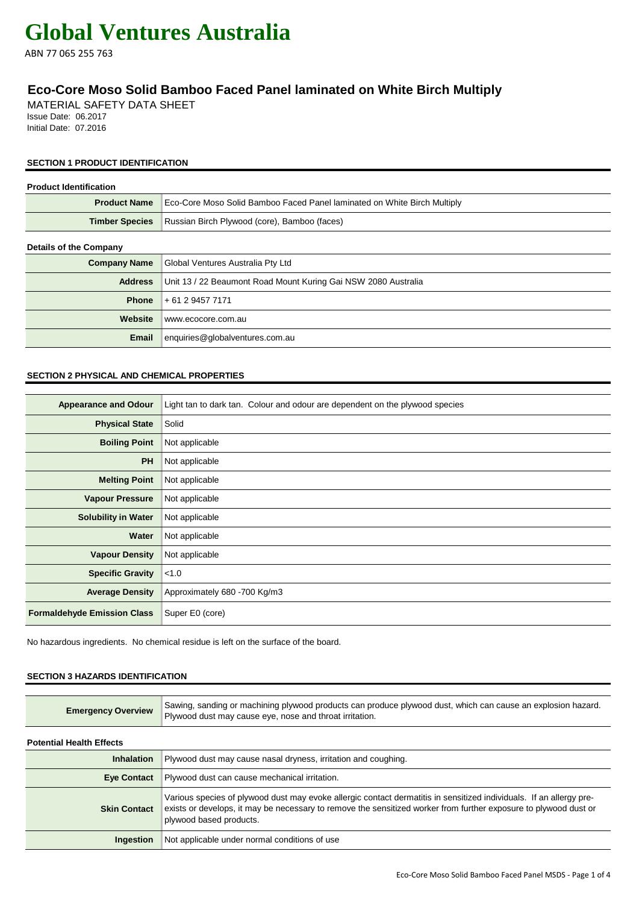ABN 77 065 255 763

### **Eco-Core Moso Solid Bamboo Faced Panel laminated on White Birch Multiply**

MATERIAL SAFETY DATA SHEET Issue Date: 06.2017 Initial Date: 07.2016

#### **SECTION 1 PRODUCT IDENTIFICATION**

| <b>Product Identification</b> |                                                                          |
|-------------------------------|--------------------------------------------------------------------------|
| <b>Product Name</b>           | Eco-Core Moso Solid Bamboo Faced Panel laminated on White Birch Multiply |
| <b>Timber Species</b>         | Russian Birch Plywood (core), Bamboo (faces)                             |
| <b>Details of the Company</b> |                                                                          |
| <b>Company Name</b>           | Global Ventures Australia Pty Ltd                                        |
| <b>Address</b>                | Unit 13 / 22 Beaumont Road Mount Kuring Gai NSW 2080 Australia           |
| <b>Phone</b>                  | + 61 2 9457 7171                                                         |
| Website                       | www.ecocore.com.au                                                       |
| Email                         | enquiries@globalventures.com.au                                          |

#### **SECTION 2 PHYSICAL AND CHEMICAL PROPERTIES**

| <b>Appearance and Odour</b>        | Light tan to dark tan. Colour and odour are dependent on the plywood species |
|------------------------------------|------------------------------------------------------------------------------|
| <b>Physical State</b>              | Solid                                                                        |
| <b>Boiling Point</b>               | Not applicable                                                               |
| <b>PH</b>                          | Not applicable                                                               |
| <b>Melting Point</b>               | Not applicable                                                               |
| <b>Vapour Pressure</b>             | Not applicable                                                               |
| <b>Solubility in Water</b>         | Not applicable                                                               |
| Water                              | Not applicable                                                               |
| <b>Vapour Density</b>              | Not applicable                                                               |
| <b>Specific Gravity</b>            | < 1.0                                                                        |
| <b>Average Density</b>             | Approximately 680 -700 Kg/m3                                                 |
| <b>Formaldehyde Emission Class</b> | Super E0 (core)                                                              |

No hazardous ingredients. No chemical residue is left on the surface of the board.

#### **SECTION 3 HAZARDS IDENTIFICATION**

| <b>Emergency Overview</b>       | Sawing, sanding or machining plywood products can produce plywood dust, which can cause an explosion hazard.<br>Plywood dust may cause eye, nose and throat irritation.                                                                                            |
|---------------------------------|--------------------------------------------------------------------------------------------------------------------------------------------------------------------------------------------------------------------------------------------------------------------|
| <b>Potential Health Effects</b> |                                                                                                                                                                                                                                                                    |
| <b>Inhalation</b>               | Plywood dust may cause nasal dryness, irritation and coughing.                                                                                                                                                                                                     |
| <b>Eye Contact</b>              | Plywood dust can cause mechanical irritation.                                                                                                                                                                                                                      |
| <b>Skin Contact</b>             | Various species of plywood dust may evoke allergic contact dermatitis in sensitized individuals. If an allergy pre-<br>exists or develops, it may be necessary to remove the sensitized worker from further exposure to plywood dust or<br>plywood based products. |
| Ingestion                       | Not applicable under normal conditions of use                                                                                                                                                                                                                      |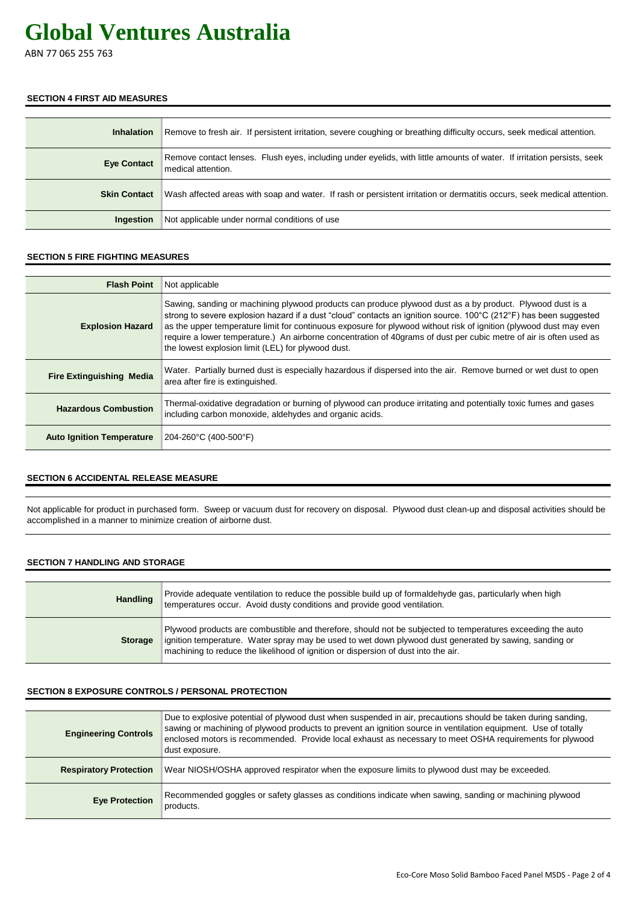ABN 77 065 255 763

#### **SECTION 4 FIRST AID MEASURES**

| <b>Inhalation</b>   | Remove to fresh air. If persistent irritation, severe coughing or breathing difficulty occurs, seek medical attention.                       |
|---------------------|----------------------------------------------------------------------------------------------------------------------------------------------|
| <b>Eye Contact</b>  | Remove contact lenses. Flush eyes, including under eyelids, with little amounts of water. If irritation persists, seek<br>medical attention. |
| <b>Skin Contact</b> | Wash affected areas with soap and water. If rash or persistent irritation or dermatitis occurs, seek medical attention.                      |
| <b>Ingestion</b>    | Not applicable under normal conditions of use                                                                                                |

#### **SECTION 5 FIRE FIGHTING MEASURES**

| <b>Flash Point</b>               | Not applicable                                                                                                                                                                                                                                                                                                                                                                                                                                                                                                                    |
|----------------------------------|-----------------------------------------------------------------------------------------------------------------------------------------------------------------------------------------------------------------------------------------------------------------------------------------------------------------------------------------------------------------------------------------------------------------------------------------------------------------------------------------------------------------------------------|
| <b>Explosion Hazard</b>          | Sawing, sanding or machining plywood products can produce plywood dust as a by product. Plywood dust is a<br>strong to severe explosion hazard if a dust "cloud" contacts an ignition source. 100°C (212°F) has been suggested<br>as the upper temperature limit for continuous exposure for plywood without risk of ignition (plywood dust may even<br>require a lower temperature.) An airborne concentration of 40 grams of dust per cubic metre of air is often used as<br>the lowest explosion limit (LEL) for plywood dust. |
| <b>Fire Extinguishing Media</b>  | Water. Partially burned dust is especially hazardous if dispersed into the air. Remove burned or wet dust to open<br>area after fire is extinguished.                                                                                                                                                                                                                                                                                                                                                                             |
| <b>Hazardous Combustion</b>      | Thermal-oxidative degradation or burning of plywood can produce irritating and potentially toxic fumes and gases<br>including carbon monoxide, aldehydes and organic acids.                                                                                                                                                                                                                                                                                                                                                       |
| <b>Auto Ignition Temperature</b> | 204-260°C (400-500°F)                                                                                                                                                                                                                                                                                                                                                                                                                                                                                                             |

#### **SECTION 6 ACCIDENTAL RELEASE MEASURE**

Not applicable for product in purchased form. Sweep or vacuum dust for recovery on disposal. Plywood dust clean-up and disposal activities should be accomplished in a manner to minimize creation of airborne dust.

#### **SECTION 7 HANDLING AND STORAGE**

| <b>Handling</b> | Provide adequate ventilation to reduce the possible build up of formaldehyde gas, particularly when high<br>temperatures occur. Avoid dusty conditions and provide good ventilation.                                                                                                                       |
|-----------------|------------------------------------------------------------------------------------------------------------------------------------------------------------------------------------------------------------------------------------------------------------------------------------------------------------|
| <b>Storage</b>  | Plywood products are combustible and therefore, should not be subjected to temperatures exceeding the auto<br>ignition temperature. Water spray may be used to wet down plywood dust generated by sawing, sanding or<br>machining to reduce the likelihood of ignition or dispersion of dust into the air. |

#### **SECTION 8 EXPOSURE CONTROLS / PERSONAL PROTECTION**

| <b>Engineering Controls</b>   | Due to explosive potential of plywood dust when suspended in air, precautions should be taken during sanding,<br>sawing or machining of plywood products to prevent an ignition source in ventilation equipment. Use of totally<br>enclosed motors is recommended. Provide local exhaust as necessary to meet OSHA requirements for plywood<br>dust exposure. |
|-------------------------------|---------------------------------------------------------------------------------------------------------------------------------------------------------------------------------------------------------------------------------------------------------------------------------------------------------------------------------------------------------------|
| <b>Respiratory Protection</b> | Wear NIOSH/OSHA approved respirator when the exposure limits to plywood dust may be exceeded.                                                                                                                                                                                                                                                                 |
| <b>Eye Protection</b>         | Recommended goggles or safety glasses as conditions indicate when sawing, sanding or machining plywood<br>products.                                                                                                                                                                                                                                           |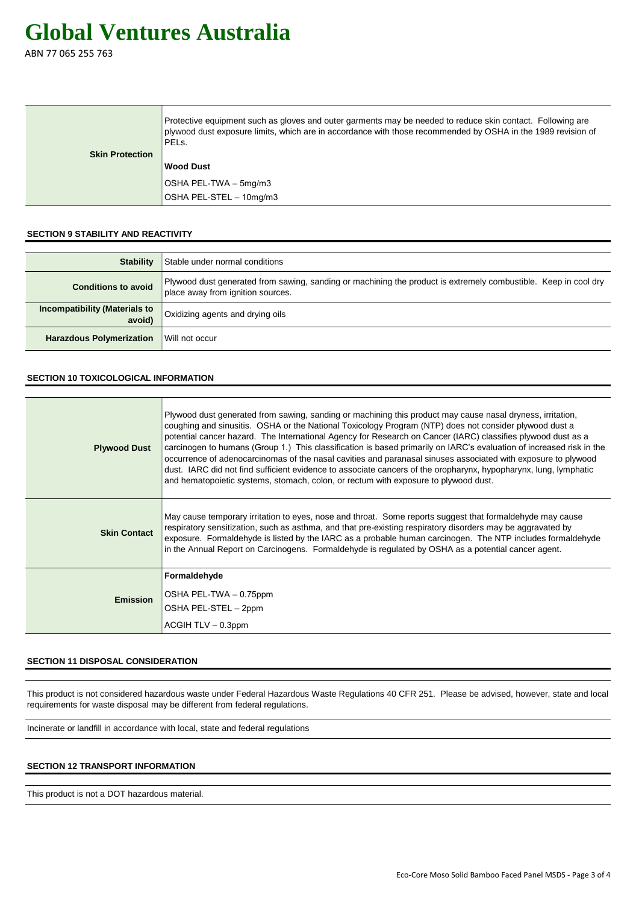ABN 77 065 255 763

|                        | Protective equipment such as gloves and outer garments may be needed to reduce skin contact. Following are<br>plywood dust exposure limits, which are in accordance with those recommended by OSHA in the 1989 revision of<br>PEL <sub>s</sub> . |
|------------------------|--------------------------------------------------------------------------------------------------------------------------------------------------------------------------------------------------------------------------------------------------|
| <b>Skin Protection</b> |                                                                                                                                                                                                                                                  |
|                        | <b>Wood Dust</b>                                                                                                                                                                                                                                 |
|                        | OSHA PEL-TWA - 5mg/m3                                                                                                                                                                                                                            |
|                        | OSHA PEL-STEL - 10mg/m3                                                                                                                                                                                                                          |

#### **SECTION 9 STABILITY AND REACTIVITY**

| <b>Stability</b>                               | Stable under normal conditions                                                                                                                       |
|------------------------------------------------|------------------------------------------------------------------------------------------------------------------------------------------------------|
| <b>Conditions to avoid</b>                     | Plywood dust generated from sawing, sanding or machining the product is extremely combustible. Keep in cool dry<br>place away from ignition sources. |
| <b>Incompatibility (Materials to</b><br>avoid) | Oxidizing agents and drying oils                                                                                                                     |
| <b>Harazdous Polymerization</b>                | Will not occur                                                                                                                                       |

#### **SECTION 10 TOXICOLOGICAL INFORMATION**

| <b>Plywood Dust</b> | Plywood dust generated from sawing, sanding or machining this product may cause nasal dryness, irritation,<br>coughing and sinusitis. OSHA or the National Toxicology Program (NTP) does not consider plywood dust a<br>potential cancer hazard. The International Agency for Research on Cancer (IARC) classifies plywood dust as a<br>carcinogen to humans (Group 1.) This classification is based primarily on IARC's evaluation of increased risk in the<br>occurrence of adenocarcinomas of the nasal cavities and paranasal sinuses associated with exposure to plywood<br>dust. IARC did not find sufficient evidence to associate cancers of the oropharynx, hypopharynx, lung, lymphatic<br>and hematopoietic systems, stomach, colon, or rectum with exposure to plywood dust. |
|---------------------|------------------------------------------------------------------------------------------------------------------------------------------------------------------------------------------------------------------------------------------------------------------------------------------------------------------------------------------------------------------------------------------------------------------------------------------------------------------------------------------------------------------------------------------------------------------------------------------------------------------------------------------------------------------------------------------------------------------------------------------------------------------------------------------|
| <b>Skin Contact</b> | May cause temporary irritation to eyes, nose and throat. Some reports suggest that formaldehyde may cause<br>respiratory sensitization, such as asthma, and that pre-existing respiratory disorders may be aggravated by<br>exposure. Formaldehyde is listed by the IARC as a probable human carcinogen. The NTP includes formaldehyde<br>in the Annual Report on Carcinogens. Formaldehyde is regulated by OSHA as a potential cancer agent.                                                                                                                                                                                                                                                                                                                                            |
| <b>Emission</b>     | Formaldehyde<br>OSHA PEL-TWA - 0.75ppm<br>OSHA PEL-STEL - 2ppm<br>$ACGIH TLV - 0.3ppm$                                                                                                                                                                                                                                                                                                                                                                                                                                                                                                                                                                                                                                                                                                   |

#### **SECTION 11 DISPOSAL CONSIDERATION**

This product is not considered hazardous waste under Federal Hazardous Waste Regulations 40 CFR 251. Please be advised, however, state and local requirements for waste disposal may be different from federal regulations.

Incinerate or landfill in accordance with local, state and federal regulations

#### **SECTION 12 TRANSPORT INFORMATION**

This product is not a DOT hazardous material.